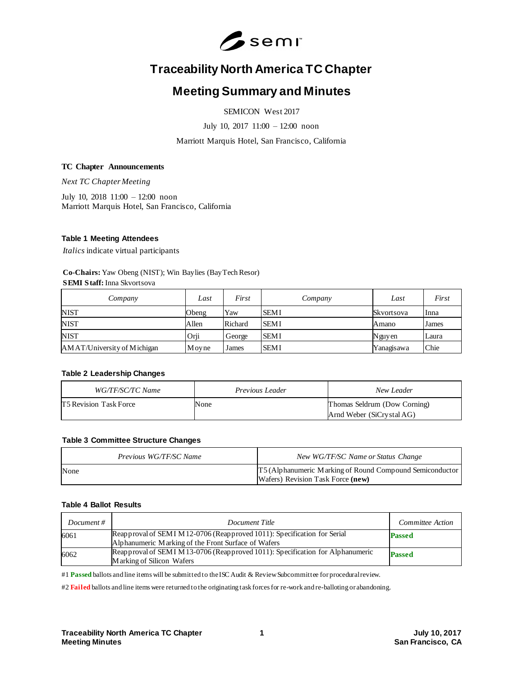

# **Traceability North America TC Chapter**

## **Meeting Summary and Minutes**

SEMICON West 2017

July 10, 2017 11:00 – 12:00 noon

Marriott Marquis Hotel, San Francisco, California

#### **TC Chapter Announcements**

*Next TC Chapter Meeting*

July 10, 2018 11:00 – 12:00 noon Marriott Marquis Hotel, San Francisco, California

## **Table 1 Meeting Attendees**

*Italics* indicate virtual participants

**Co-Chairs:** Yaw Obeng (NIST); Win Baylies (BayTech Resor) **SEMI Staff:** Inna Skvortsova

| Company                     | Last  | First   | Company     | Last       | First |
|-----------------------------|-------|---------|-------------|------------|-------|
| <b>NIST</b>                 | Obeng | Yaw     | <b>SEMI</b> | Skvortsova | Inna  |
| <b>NIST</b>                 | Allen | Richard | <b>SEMI</b> | Amano      | James |
| <b>NIST</b>                 | Orji  | George  | <b>SEMI</b> | Nguyen     | Laura |
| AMAT/University of Michigan | Moyne | James   | <b>SEMI</b> | Yanagisawa | Chie  |

#### **Table 2 Leadership Changes**

| WG/TF/SC/TC Name       | Previous Leader | New Leader                                                |
|------------------------|-----------------|-----------------------------------------------------------|
| T5 Revision Task Force | None            | Thomas Seldrum (Dow Corning)<br>Arnd Weber (SiCrystal AG) |

#### **Table 3 Committee Structure Changes**

| Previous WG/TF/SC Name | New WG/TF/SC Name or Status Change                                                             |
|------------------------|------------------------------------------------------------------------------------------------|
| None                   | [T5 (Alphanumeric Marking of Round Compound Semiconductor<br>Wafers) Revision Task Force (new) |

## **Table 4 Ballot Results**

| Document # | Document Title                                                                                                                  | Committee Action |
|------------|---------------------------------------------------------------------------------------------------------------------------------|------------------|
| 6061       | Reapproval of SEMI M 12-0706 (Reapproved 1011): Specification for Serial<br>Alphanumeric Marking of the Front Surface of Wafers | <b>Passed</b>    |
| 6062       | Reapproval of SEMI M13-0706 (Reapproved 1011): Specification for Alphanumeric<br>Marking of Silicon Wafers                      | <b>Passed</b>    |

#1 **Passed** ballots and line items will be submitted to the ISC Audit & Review Subcommittee for procedural review.

#2 **Failed** ballots and line items were returned to the originating task forces for re-work and re-balloting or abandoning.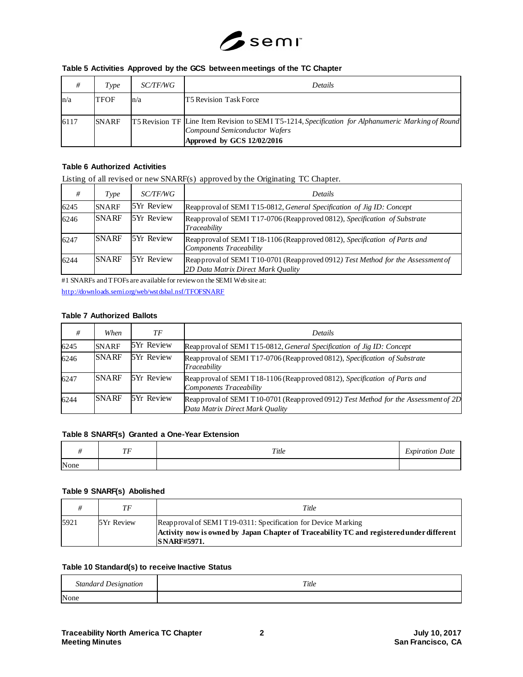

## **Table 5 Activities Approved by the GCS between meetings of the TC Chapter**

| #    | Type         | <i>SC/TF/WG</i> | Details                                                                                                                                                           |
|------|--------------|-----------------|-------------------------------------------------------------------------------------------------------------------------------------------------------------------|
| n/a  | <b>TFOF</b>  | n/a             | IT5 Revision Task Force                                                                                                                                           |
| 6117 | <b>SNARF</b> |                 | T5 Revision TF Line Item Revision to SEMI T5-1214, Specification for Alphanumeric Marking of Round<br>Compound Semiconductor Wafers<br>Approved by GCS 12/02/2016 |

## **Table 6 Authorized Activities**

| Listing of all revised or new SNARF(s) approved by the Originating TC Chapter. |  |  |
|--------------------------------------------------------------------------------|--|--|
|                                                                                |  |  |

| #    | Type         | <i>SC/TF/WG</i>   | Details                                                                                                               |
|------|--------------|-------------------|-----------------------------------------------------------------------------------------------------------------------|
| 6245 | <b>SNARF</b> | 5Yr Review        | Reapproval of SEMI T15-0812, General Specification of Jig ID: Concept                                                 |
| 6246 | <b>SNARF</b> | <b>5Yr Review</b> | Reapproval of SEMIT17-0706 (Reapproved 0812), Specification of Substrate<br>Traceability                              |
| 6247 | <b>SNARF</b> | <b>5Yr Review</b> | Reapproval of SEMI T18-1106 (Reapproved 0812), Specification of Parts and<br><b>Components Traceability</b>           |
| 6244 | <b>SNARF</b> | <b>5Yr Review</b> | Reapproval of SEMI T10-0701 (Reapproved 0912) Test Method for the Assessment of<br>2D Data Matrix Direct Mark Ouality |

#1 SNARFs and TFOFs are available for review on the SEMI Web site at: <http://downloads.semi.org/web/wstdsbal.nsf/TFOFSNARF>

## **Table 7 Authorized Ballots**

| #    | When         | ТF                | <i>Details</i>                                                                                                       |
|------|--------------|-------------------|----------------------------------------------------------------------------------------------------------------------|
| 6245 | <b>SNARF</b> | <b>5Yr Review</b> | Reapproval of SEMI T15-0812, General Specification of Jig ID: Concept                                                |
| 6246 | <b>SNARF</b> | <b>5Yr Review</b> | Reapproval of SEMI T17-0706 (Reapproved 0812), Specification of Substrate<br>Traceability                            |
| 6247 | <b>SNARF</b> | <b>5Yr Review</b> | Reapproval of SEMI T18-1106 (Reapproved 0812), Specification of Parts and<br>Components Traceability                 |
| 6244 | <b>SNARF</b> | <b>5Yr Review</b> | Reapproval of SEMIT10-0701 (Reapproved 0912) Test Method for the Assessment of 2D<br>Data Matrix Direct Mark Quality |

#### **Table 8 SNARF(s) Granted a One-Year Extension**

|      | $\pi r$<br> | Title | $\overline{\phantom{a}}$<br><i>Expiration</i><br>ate |
|------|-------------|-------|------------------------------------------------------|
| None |             |       |                                                      |

#### **Table 9 SNARF(s) Abolished**

|      | TF         | Title                                                                                                                                                                           |
|------|------------|---------------------------------------------------------------------------------------------------------------------------------------------------------------------------------|
| 5921 | 5Yr Review | Reapproval of SEMI T19-0311: Specification for Device Marking<br>Activity now is owned by Japan Chapter of Traceability TC and registered under different<br><b>SNARF#5971.</b> |

## **Table 10 Standard(s) to receive Inactive Status**

| <b>Standard Designation</b> | Title |
|-----------------------------|-------|
| None                        |       |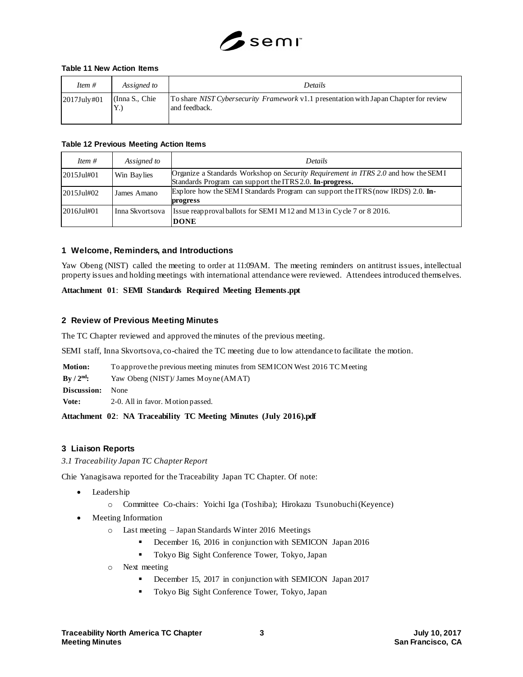

## **Table 11 New Action Items**

| Item #      | Assigned to                   | Details                                                                                                       |
|-------------|-------------------------------|---------------------------------------------------------------------------------------------------------------|
| 2017July#01 | $\vert$ (Inna S., Chie)<br>1. | To share <i>NIST Cybersecurity Framework</i> v1.1 presentation with Japan Chapter for review<br>and feedback. |

#### **Table 12 Previous Meeting Action Items**

| Item $#$       | Assigned to     | <b>Details</b>                                                                                                                                  |
|----------------|-----------------|-------------------------------------------------------------------------------------------------------------------------------------------------|
| $2015$ Jul#01  | Win Baylies     | Organize a Standards Workshop on Security Requirement in ITRS 2.0 and how the SEM I<br>Standards Program can support the ITRS 2.0. In-progress. |
| $ 2015$ Jul#02 | James Amano     | Explore how the SEMI Standards Program can support the ITRS (now IRDS) 2.0. In-<br>progress                                                     |
| $ 2016$ Jul#01 | Inna Skvortsova | Issue reapproval ballots for SEMI M12 and M13 in Cycle 7 or 8 2016.<br><b>DONE</b>                                                              |

#### **1 Welcome, Reminders, and Introductions**

Yaw Obeng (NIST) called the meeting to order at 11:09AM. The meeting reminders on antitrust issues, intellectual property issues and holding meetings with international attendance were reviewed. Attendees introduced themselves.

#### **Attachment 01**: **SEMI Standards Required Meeting Elements.ppt**

#### **2 Review of Previous Meeting Minutes**

The TC Chapter reviewed and approved the minutes of the previous meeting.

SEMI staff, Inna Skvortsova, co-chaired the TC meeting due to low attendance to facilitate the motion.

| <b>Motion:</b>                       | To approve the previous meeting minutes from SEMICON West 2016 TCM eeting |
|--------------------------------------|---------------------------------------------------------------------------|
| $\rm\,By\,$ / $\rm 2^{nd}\mathbf{.}$ | Yaw Obeng (NIST)/ James Moyne (AMAT)                                      |
| Discussion:                          | None                                                                      |
| Vote:                                | 2-0. All in favor. Motion passed.                                         |
|                                      |                                                                           |

## **Attachment 02**: **NA Traceability TC Meeting Minutes (July 2016).pdf**

#### **3 Liaison Reports**

#### *3.1 Traceability Japan TC Chapter Report*

Chie Yanagisawa reported for the Traceability Japan TC Chapter. Of note:

- Leadership
	- o Committee Co-chairs: Yoichi Iga (Toshiba); Hirokazu Tsunobuchi (Keyence)
- Meeting Information
	- o Last meeting Japan Standards Winter 2016 Meetings
		- December 16, 2016 in conjunction with SEMICON Japan 2016
		- Tokyo Big Sight Conference Tower, Tokyo, Japan
	- o Next meeting
		- December 15, 2017 in conjunction with SEMICON Japan 2017
		- Tokyo Big Sight Conference Tower, Tokyo, Japan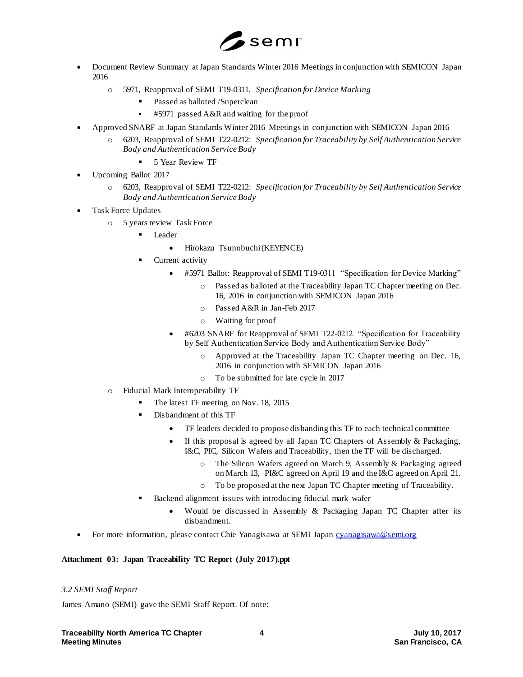

- Document Review Summary at Japan Standards Winter 2016 Meetings in conjunction with SEMICON Japan 2016
	- o 5971, Reapproval of SEMI T19-0311, *Specification for Device Marking*
		- Passed as balloted /Superclean
			- #5971 passed A&R and waiting for the proof
- Approved SNARF at Japan Standards Winter 2016 Meetings in conjunction with SEMICON Japan 2016
	- o 6203, Reapproval of SEMI T22-0212: *Specification for Traceability by Self Authentication Service Body and Authentication Service Body*
		- 5 Year Review TF
- Upcoming Ballot 2017
	- o 6203, Reapproval of SEMI T22-0212: *Specification for Traceability by Self Authentication Service Body and Authentication Service Body*
- Task Force Updates
	- o 5 years review Task Force
		- Leader
			- Hirokazu Tsunobuchi (KEYENCE)
		- Current activity
			- #5971 Ballot: Reapproval of SEMI T19-0311 "Specification for Device Marking"
				- o Passed as balloted at the Traceability Japan TC Chapter meeting on Dec. 16, 2016 in conjunction with SEMICON Japan 2016
				- o Passed A&R in Jan-Feb 2017
				- o Waiting for proof
			- #6203 SNARF for Reapproval of SEMI T22-0212 "Specification for Traceability by Self Authentication Service Body and Authentication Service Body"
				- o Approved at the Traceability Japan TC Chapter meeting on Dec. 16, 2016 in conjunction with SEMICON Japan 2016
				- o To be submitted for late cycle in 2017
	- o Fiducial Mark Interoperability TF
		- The latest TF meeting on Nov. 18, 2015
		- Disbandment of this TF
			- TF leaders decided to propose disbanding this TF to each technical committee
			- If this proposal is agreed by all Japan TC Chapters of Assembly & Packaging, I&C, PIC, Silicon Wafers and Traceability, then the TF will be discharged.
				- o The Silicon Wafers agreed on March 9, Assembly & Packaging agreed on March 13, PI&C agreed on April 19 and the I&C agreed on April 21.
				- o To be proposed at the next Japan TC Chapter meeting of Traceability.
		- Backend alignment issues with introducing fiducial mark wafer
			- Would be discussed in Assembly & Packaging Japan TC Chapter after its disbandment.
- For more information, please contact Chie Yanagisawa at SEMI Japa[n cyanagisawa@semi.org](mailto:cyanagisawa@semi.org)

## **Attachment 03: Japan Traceability TC Report (July 2017).ppt**

#### *3.2 SEMI Staff Report*

James Amano (SEMI) gave the SEMI Staff Report. Of note: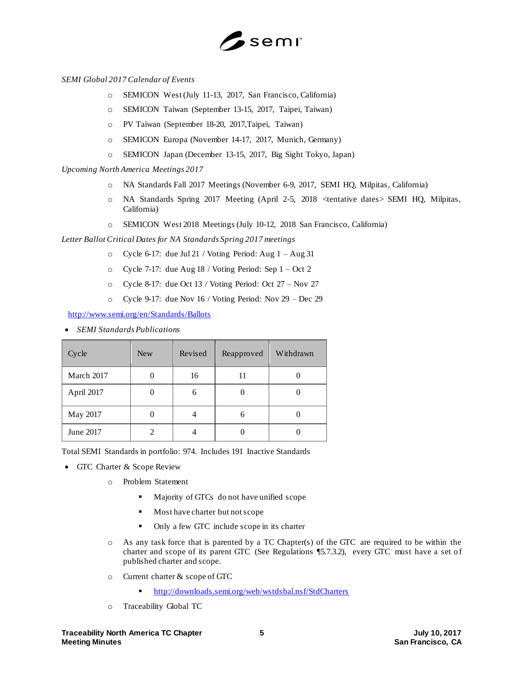

## *SEMI Global 2017 Calendar of Events*

- o SEMICON West (July 11-13, 2017, San Francisco, California)
- o SEMICON Taiwan (September 13-15, 2017, Taipei, Taiwan)
- o PV Taiwan (September 18-20, 2017,Taipei, Taiwan)
- o SEMICON Europa (November 14-17, 2017, Munich, Germany)
- o SEMICON Japan (December 13-15, 2017, Big Sight Tokyo, Japan)

*Upcoming North America Meetings 2017*

- o NA Standards Fall 2017 Meetings (November 6-9, 2017, SEMI HQ, Milpitas, California)
- o NA Standards Spring 2017 Meeting (April 2-5, 2018 <tentative dates> SEMI HQ, Milpitas, California)
- o SEMICON West 2018 Meetings (July 10-12, 2018 San Francisco, California)

*Letter Ballot Critical Dates for NA Standards Spring 2017 meetings*

- $\circ$  Cycle 6-17: due Jul 21 / Voting Period: Aug 1 Aug 31
- $\circ$  Cycle 7-17: due Aug 18 / Voting Period: Sep 1 Oct 2
- o Cycle 8-17: due Oct 13 / Voting Period: Oct 27 Nov 27
- o Cycle 9-17: due Nov 16 / Voting Period: Nov 29 Dec 29

<http://www.semi.org/en/Standards/Ballots>

*SEMI Standards Publications* 

| Cycle      | <b>New</b> | Revised | Reapproved | Withdrawn |
|------------|------------|---------|------------|-----------|
| March 2017 |            | 16      |            |           |
| April 2017 |            | 6       |            |           |
| May 2017   |            |         | 6          |           |
| June 2017  |            |         |            |           |

Total SEMI Standards in portfolio: 974. Includes 191 Inactive Standards

- GTC Charter & Scope Review
	- o Problem Statement
		- **Majority of GTCs** do not have unified scope
		- **Most have charter but not scope**
		- Only a few GTC include scope in its charter
	- $\circ$  As any task force that is parented by a TC Chapter(s) of the GTC are required to be within the charter and scope of its parent GTC (See Regulations ¶5.7.3.2), every GTC must have a set of published charter and scope.
	- o Current charter & scope of GTC
		- <http://downloads.semi.org/web/wstdsbal.nsf/StdCharters>
	- o Traceability Global TC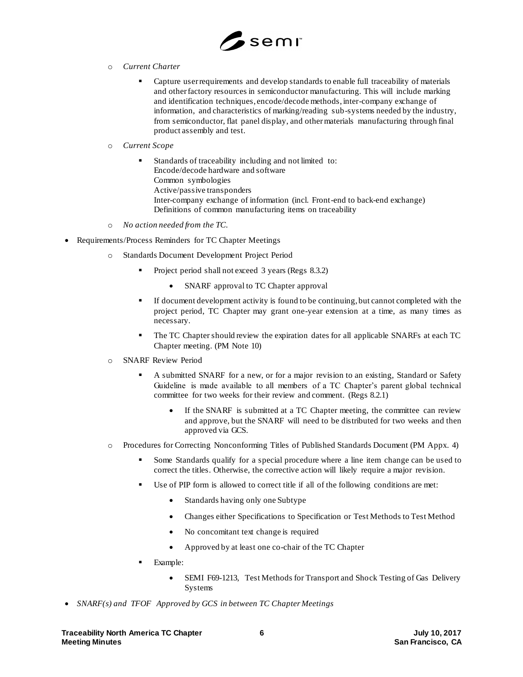

- o *Current Charter*
	- Capture user requirements and develop standards to enable full traceability of materials and other factory resources in semiconductor manufacturing. This will include marking and identification techniques, encode/decode methods, inter-company exchange of information, and characteristics of marking/reading sub-systems needed by the industry, from semiconductor, flat panel display, and other materials manufacturing through final product assembly and test.
- o *Current Scope*
	- Standards of traceability including and not limited to: Encode/decode hardware and software Common symbologies Active/passive transponders Inter-company exchange of information (incl. Front-end to back-end exchange) Definitions of common manufacturing items on traceability
- o *No action needed from the TC.*
- Requirements/Process Reminders for TC Chapter Meetings
	- o Standards Document Development Project Period
		- Project period shall not exceed 3 years (Regs 8.3.2)
			- SNARF approval to TC Chapter approval
		- If document development activity is found to be continuing, but cannot completed with the project period, TC Chapter may grant one-year extension at a time, as many times as necessary.
		- The TC Chapter should review the expiration dates for all applicable SNARFs at each TC Chapter meeting. (PM Note 10)
	- o SNARF Review Period
		- A submitted SNARF for a new, or for a major revision to an existing, Standard or Safety Guideline is made available to all members of a TC Chapter's parent global technical committee for two weeks for their review and comment. (Regs 8.2.1)
			- If the SNARF is submitted at a TC Chapter meeting, the committee can review and approve, but the SNARF will need to be distributed for two weeks and then approved via GCS.
	- o Procedures for Correcting Nonconforming Titles of Published Standards Document (PM Appx. 4)
		- Some Standards qualify for a special procedure where a line item change can be used to correct the titles. Otherwise, the corrective action will likely require a major revision.
		- Use of PIP form is allowed to correct title if all of the following conditions are met:
			- Standards having only one Subtype
			- Changes either Specifications to Specification or Test Methods to Test Method
			- No concomitant text change is required
			- Approved by at least one co-chair of the TC Chapter
		- Example:
			- SEMI F69-1213, Test Methods for Transport and Shock Testing of Gas Delivery Systems
- *SNARF(s) and TFOF Approved by GCS in between TC Chapter Meetings*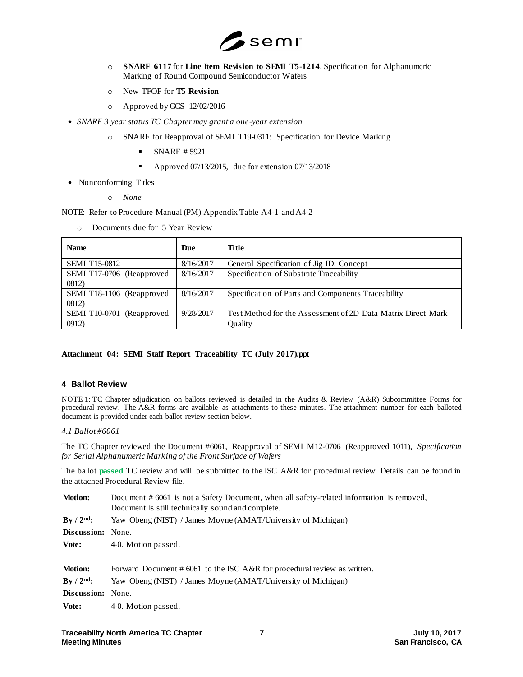

- o **SNARF 6117** for **Line Item Revision to SEMI T5-1214**, Specification for Alphanumeric Marking of Round Compound Semiconductor Wafers
- o New TFOF for **T5 Revision**
- o Approved by GCS 12/02/2016
- *SNARF 3 year status TC Chapter may grant a one-year extension*
	- o SNARF for Reapproval of SEMI T19-0311: Specification for Device Marking
		- $\blacksquare$  SNARF # 5921
		- Approved  $07/13/2015$ , due for extension  $07/13/2018$
- Nonconforming Titles
	- o *None*

NOTE: Refer to Procedure Manual (PM) Appendix Table A4-1 and A4-2

o Documents due for 5 Year Review

| <b>Name</b>               | Due       | Title                                                        |
|---------------------------|-----------|--------------------------------------------------------------|
| <b>SEMI T15-0812</b>      | 8/16/2017 | General Specification of Jig ID: Concept                     |
| SEMI T17-0706 (Reapproved | 8/16/2017 | Specification of Substrate Traceability                      |
| 0812)                     |           |                                                              |
| SEMI T18-1106 (Reapproved | 8/16/2017 | Specification of Parts and Components Traceability           |
| 0812)                     |           |                                                              |
| SEMI T10-0701 (Reapproved | 9/28/2017 | Test Method for the Assessment of 2D Data Matrix Direct Mark |
| 0912)                     |           | Ouality                                                      |

## **Attachment 04: SEMI Staff Report Traceability TC (July 2017).ppt**

## **4 Ballot Review**

NOTE 1: TC Chapter adjudication on ballots reviewed is detailed in the Audits & Review (A&R) Subcommittee Forms for procedural review. The A&R forms are available as attachments to these minutes. The attachment number for each balloted document is provided under each ballot review section below.

#### *4.1 Ballot #6061*

The TC Chapter reviewed the Document #6061, Reapproval of SEMI M12-0706 (Reapproved 1011), *Specification for Serial Alphanumeric Marking of the Front Surface of Wafers*

The ballot **passed** TC review and will be submitted to the ISC A&R for procedural review. Details can be found in the attached Procedural Review file.

| <b>Motion:</b>           | Document # 6061 is not a Safety Document, when all safety-related information is removed,<br>Document is still technically sound and complete. |  |
|--------------------------|------------------------------------------------------------------------------------------------------------------------------------------------|--|
| $By / 2nd$ :             | Yaw Obeng (NIST) / James Moyne (AMAT/University of Michigan)                                                                                   |  |
| <b>Discussion:</b> None. |                                                                                                                                                |  |
| Vote:                    | 4-0. Motion passed.                                                                                                                            |  |
|                          |                                                                                                                                                |  |
| <b>Motion:</b>           | Forward Document #6061 to the ISC A&R for procedural review as written.                                                                        |  |
| $By / 2nd$ :             | Yaw Obeng (NIST) / James Moyne (AMAT/University of Michigan)                                                                                   |  |
| <b>Discussion:</b> None. |                                                                                                                                                |  |
| Vote:                    | 4-0. Motion passed.                                                                                                                            |  |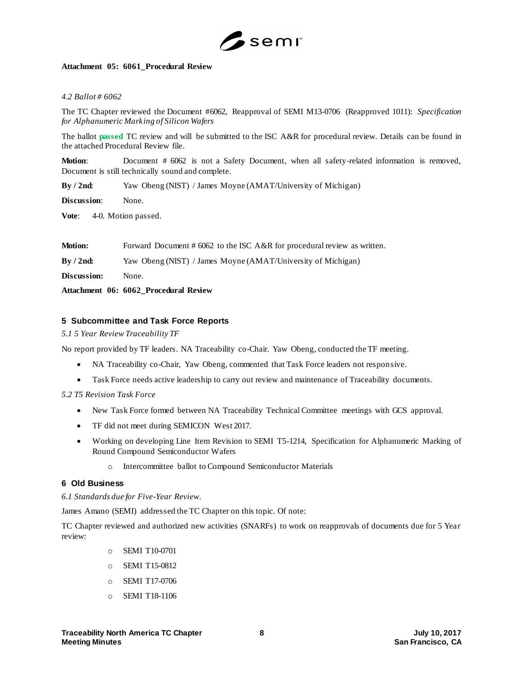

### **Attachment 05: 6061\_Procedural Review**

*4.2 Ballot # 6062*

The TC Chapter reviewed the Document #6062, Reapproval of SEMI M13-0706 (Reapproved 1011): *Specification for Alphanumeric Marking of Silicon Wafers*

The ballot **passed** TC review and will be submitted to the ISC A&R for procedural review. Details can be found in the attached Procedural Review file.

**Motion:** Document # 6062 is not a Safety Document, when all safety-related information is removed, Document is still technically sound and complete.

**By / 2nd**: Yaw Obeng (NIST) / James Moyne (AMAT/University of Michigan)

**Discussion**: None.

**Vote**: 4-0. Motion passed.

|                              | Attachment 06: 6062 Procedural Review                                    |
|------------------------------|--------------------------------------------------------------------------|
| Discussion:                  | None.                                                                    |
| $\mathrm{Bv}/\mathrm{2nd}$ : | Yaw Obeng (NIST) / James Moyne (AMAT/University of Michigan)             |
| <b>Motion:</b>               | Forward Document # 6062 to the ISC A&R for procedural review as written. |

#### **5 Subcommittee and Task Force Reports**

*5.1 5 Year Review Traceability TF*

No report provided by TF leaders. NA Traceability co-Chair. Yaw Obeng, conducted the TF meeting.

- NA Traceability co-Chair, Yaw Obeng, commented that Task Force leaders not responsive.
- Task Force needs active leadership to carry out review and maintenance of Traceability documents.

*5.2 T5 Revision Task Force*

- New Task Force formed between NA Traceability Technical Committee meetings with GCS approval.
- TF did not meet during SEMICON West 2017.
- Working on developing Line Item Revision to SEMI T5-1214, Specification for Alphanumeric Marking of Round Compound Semiconductor Wafers
	- o Intercommittee ballot to Compound Semiconductor Materials

## **6 Old Business**

*6.1 Standards due for Five-Year Review.*

James Amano (SEMI) addressed the TC Chapter on this topic. Of note:

TC Chapter reviewed and authorized new activities (SNARFs) to work on reapprovals of documents due for 5 Year review:

- o SEMI T10-0701
- o SEMI T15-0812
- o SEMI T17-0706
- o SEMI T18-1106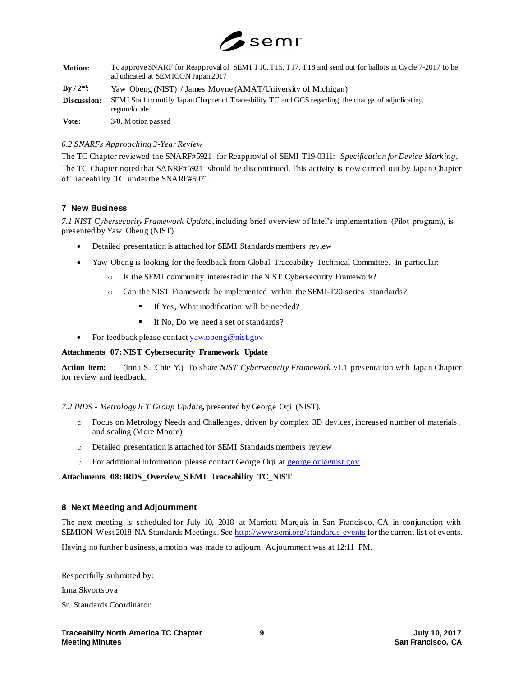

| <b>Motion:</b>                  | To approve SNARF for Reapproval of SEMIT10, T15, T17, T18 and send out for ballots in Cycle 7-2017 to be<br>adjudicated at SEMICON Japan 2017 |  |
|---------------------------------|-----------------------------------------------------------------------------------------------------------------------------------------------|--|
| $\rm\,By\,$ / $\rm\,2^{nd}\rm:$ | Yaw Obeng (NIST) / James Moyne (AMAT/University of Michigan)                                                                                  |  |
| Discussion:                     | SEMI Staff to notify Japan Chapter of Traceability TC and GCS regarding the change of adjudicating<br>region/locale                           |  |
| Vote:                           | 3/0. Motion passed                                                                                                                            |  |

## *6.2 SNARFs Approaching 3-Year Review*

The TC Chapter reviewed the SNARF#5921 for Reapproval of SEMI T19-0311: *Specification for Device Marking,*  The TC Chapter noted that SANRF#5921 should be discontinued. This activity is now carried out by Japan Chapter of Traceability TC under the SNARF#5971.

## **7 New Business**

*7.1 NIST Cybersecurity Framework Update,*including brief overview of Intel's implementation (Pilot program), is presented by Yaw Obeng (NIST)

- Detailed presentation is attached for SEMI Standards members review
- Yaw Obeng is looking for the feedback from Global Traceability Technical Committee. In particular:
	- o Is the SEMI community interested in the NIST Cybersecurity Framework?
	- o Can the NIST Framework be implemented within the SEMI-T20-series standards?
		- If Yes, What modification will be needed?
		- If No, Do we need a set of standards?
- For feedback please contact  $yaw.obeng@nist.gov$

## **Attachments 07:NIST Cybersecurity Framework Update**

**Action Item:** (Inna S., Chie Y.) To share *NIST Cybersecurity Framework* v1.1 presentation with Japan Chapter for review and feedback.

*7.2 IRDS - Metrology IFT Group Update,* presented by George Orji (NIST).

- o Focus on Metrology Needs and Challenges, driven by complex 3D devices, increased number of materials , and scaling (More Moore)
- o Detailed presentation is attached for SEMI Standards members review
- $\circ$  For additional information please contact George Orij a[t george.orji@nist.gov](mailto:george.orji@nist.gov)

## **Attachments 08:IRDS\_Overview\_S EMI Traceability TC\_NIST**

#### **8 Next Meeting and Adjournment**

The next meeting is scheduled for July 10, 2018 at Marriott Marquis in San Francisco, CA in conjunction with SEMION West 2018 NA Standards Meetings. Se[e http://www.semi.org/standards-events](http://www.semi.org/standards-events) for the current list of events.

Having no further business, a motion was made to adjourn. Adjournment was at 12:11 PM.

Respectfully submitted by:

Inna Skvortsova

Sr. Standards Coordinator